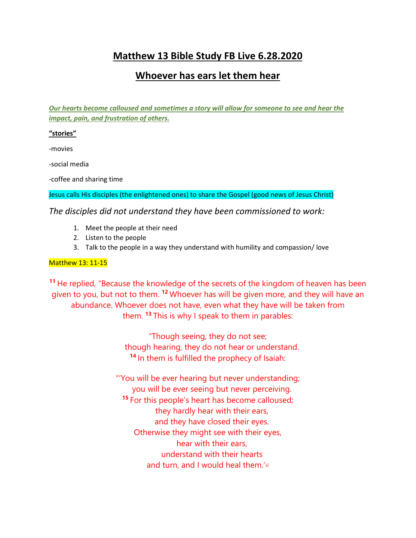### **Matthew 13 Bible Study FB Live 6.28.2020**

### **Whoever has ears let them hear**

*Our hearts become calloused and sometimes a story will allow for someone to see and hear the impact, pain, and frustration of others.*

#### **"stories"**

-movies

-social media

-coffee and sharing time

Jesus calls His disciples (the enlightened ones) to share the Gospel (good news of Jesus Christ)

*The disciples did not understand they have been commissioned to work:*

- 1. Meet the people at their need
- 2. Listen to the people
- 3. Talk to the people in a way they understand with humility and compassion/ love

#### Matthew 13: 11-15

**<sup>11</sup>** He replied, "Because the knowledge of the secrets of the kingdom of heaven has been given to you, but not to them. **<sup>12</sup>** Whoever has will be given more, and they will have an abundance. Whoever does not have, even what they have will be taken from them. **<sup>13</sup>** This is why I speak to them in parables:

> "Though seeing, they do not see; though hearing, they do not hear or understand. **<sup>14</sup>** In them is fulfilled the prophecy of Isaiah:

"'You will be ever hearing but never understanding; you will be ever seeing but never perceiving. **<sup>15</sup>** For this people's heart has become calloused; they hardly hear with their ears, and they have closed their eyes. Otherwise they might see with their eyes, hear with their ears, understand with their hearts and turn, and I would heal them.'<sup>@</sup>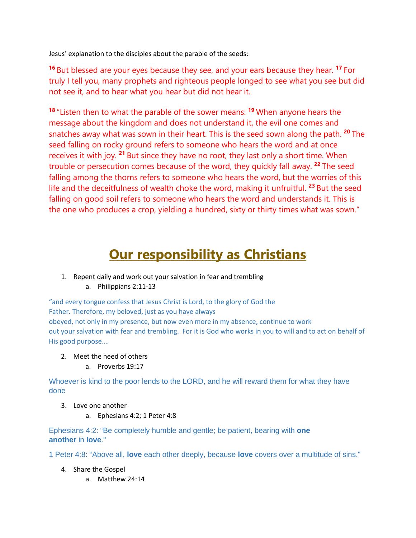Jesus' explanation to the disciples about the parable of the seeds:

**<sup>16</sup>** But blessed are your eyes because they see, and your ears because they hear. **<sup>17</sup>** For truly I tell you, many prophets and righteous people longed to see what you see but did not see it, and to hear what you hear but did not hear it.

**<sup>18</sup>** "Listen then to what the parable of the sower means: **<sup>19</sup>** When anyone hears the message about the kingdom and does not understand it, the evil one comes and snatches away what was sown in their heart. This is the seed sown along the path. **<sup>20</sup>** The seed falling on rocky ground refers to someone who hears the word and at once receives it with joy. **<sup>21</sup>** But since they have no root, they last only a short time. When trouble or persecution comes because of the word, they quickly fall away. **<sup>22</sup>** The seed falling among the thorns refers to someone who hears the word, but the worries of this life and the deceitfulness of wealth choke the word, making it unfruitful. **<sup>23</sup>** But the seed falling on good soil refers to someone who hears the word and understands it. This is the one who produces a crop, yielding a hundred, sixty or thirty times what was sown."

## **Our responsibility as Christians**

- 1. Repent daily and work out your salvation in fear and trembling
	- a. Philippians 2:11-13

"and every tongue confess that Jesus Christ is Lord, to the glory of God the Father. Therefore, my beloved, just as you have always obeyed, not only in my presence, but now even more in my absence, continue to work out your salvation with fear and trembling. For it is God who works in you to will and to act on behalf of His good purpose.…

- 2. Meet the need of others
	- a. Proverbs 19:17

Whoever is kind to the poor lends to the LORD, and he will reward them for what they have done

- 3. Love one another
	- a. Ephesians 4:2; 1 Peter 4:8

Ephesians 4:2: "Be completely humble and gentle; be patient, bearing with **one another** in **love**."

1 Peter 4:8: "Above all, **love** each other deeply, because **love** covers over a multitude of sins."

- 4. Share the Gospel
	- a. Matthew 24:14